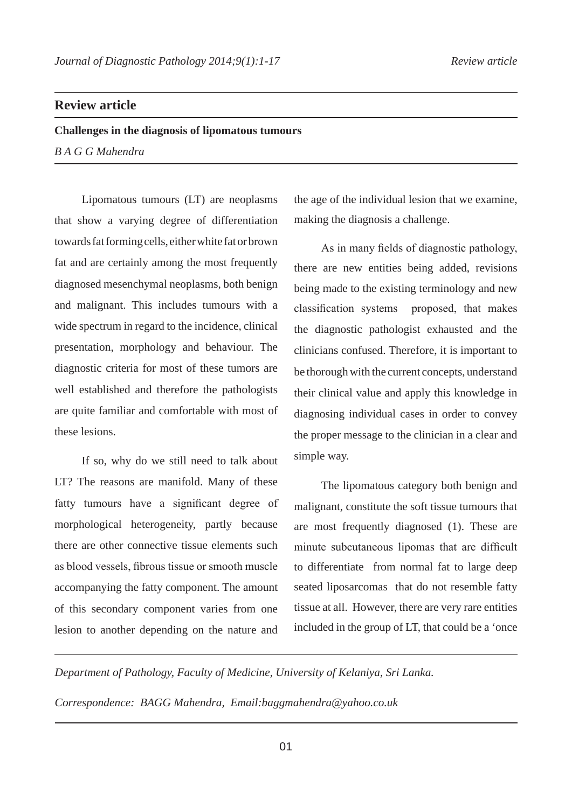## **Review article**

**Challenges in the diagnosis of lipomatous tumours** *B A G G Mahendra*

Lipomatous tumours (LT) are neoplasms that show a varying degree of differentiation towards fat forming cells, either white fat or brown fat and are certainly among the most frequently diagnosed mesenchymal neoplasms, both benign and malignant. This includes tumours with a wide spectrum in regard to the incidence, clinical presentation, morphology and behaviour. The diagnostic criteria for most of these tumors are well established and therefore the pathologists are quite familiar and comfortable with most of these lesions.

If so, why do we still need to talk about LT? The reasons are manifold. Many of these fatty tumours have a significant degree of morphological heterogeneity, partly because there are other connective tissue elements such as blood vessels, fibrous tissue or smooth muscle accompanying the fatty component. The amount of this secondary component varies from one lesion to another depending on the nature and

the age of the individual lesion that we examine, making the diagnosis a challenge.

As in many fields of diagnostic pathology, there are new entities being added, revisions being made to the existing terminology and new classification systems proposed, that makes the diagnostic pathologist exhausted and the clinicians confused. Therefore, it is important to be thorough with the current concepts, understand their clinical value and apply this knowledge in diagnosing individual cases in order to convey the proper message to the clinician in a clear and simple way.

The lipomatous category both benign and malignant, constitute the soft tissue tumours that are most frequently diagnosed (1). These are minute subcutaneous lipomas that are difficult to differentiate from normal fat to large deep seated liposarcomas that do not resemble fatty tissue at all. However, there are very rare entities included in the group of LT, that could be a 'once

*Department of Pathology, Faculty of Medicine, University of Kelaniya, Sri Lanka.*

*Correspondence: BAGG Mahendra, Email:baggmahendra@yahoo.co.uk*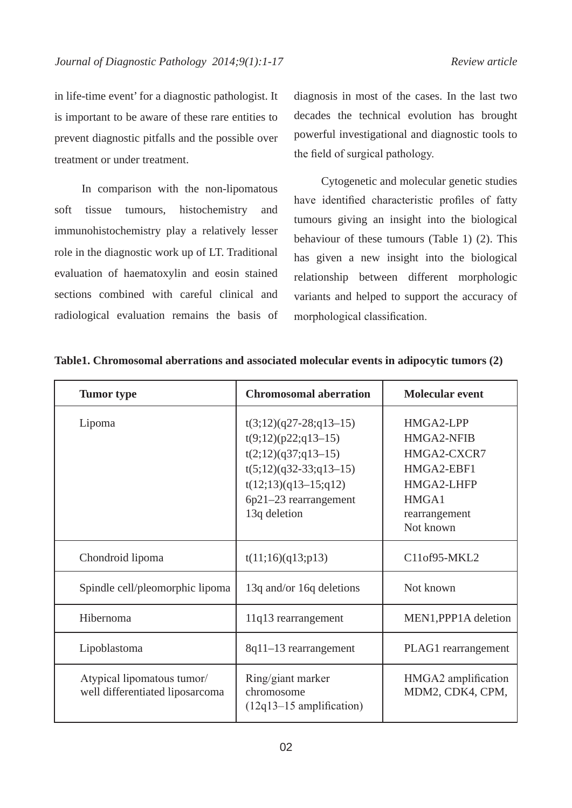in life-time event' for a diagnostic pathologist. It is important to be aware of these rare entities to prevent diagnostic pitfalls and the possible over treatment or under treatment.

In comparison with the non-lipomatous soft tissue tumours, histochemistry and immunohistochemistry play a relatively lesser role in the diagnostic work up of LT. Traditional evaluation of haematoxylin and eosin stained sections combined with careful clinical and radiological evaluation remains the basis of diagnosis in most of the cases. In the last two decades the technical evolution has brought powerful investigational and diagnostic tools to the field of surgical pathology.

Cytogenetic and molecular genetic studies have identified characteristic profiles of fatty tumours giving an insight into the biological behaviour of these tumours (Table 1) (2). This has given a new insight into the biological relationship between different morphologic variants and helped to support the accuracy of morphological classification.

| <b>Tumor</b> type                                             | <b>Chromosomal aberration</b>                                                                                                                                             | <b>Molecular event</b>                                                                                    |
|---------------------------------------------------------------|---------------------------------------------------------------------------------------------------------------------------------------------------------------------------|-----------------------------------------------------------------------------------------------------------|
| Lipoma                                                        | $t(3;12)(q27-28;q13-15)$<br>$t(9;12)(p22;q13-15)$<br>$t(2;12)(q37;q13-15)$<br>$t(5;12)(q32-33;q13-15)$<br>$t(12;13)(q13-15;q12)$<br>6p21-23 rearrangement<br>13q deletion | HMGA2-LPP<br>HMGA2-NFIB<br>HMGA2-CXCR7<br>HMGA2-EBF1<br>HMGA2-LHFP<br>HMGA1<br>rearrangement<br>Not known |
| Chondroid lipoma                                              | t(11;16)(q13;p13)                                                                                                                                                         | C11of95-MKL2                                                                                              |
| Spindle cell/pleomorphic lipoma                               | 13q and/or 16q deletions                                                                                                                                                  | Not known                                                                                                 |
| Hibernoma                                                     | 11q13 rearrangement                                                                                                                                                       | MEN1, PPP1A deletion                                                                                      |
| Lipoblastoma                                                  | 8q11-13 rearrangement                                                                                                                                                     | PLAG1 rearrangement                                                                                       |
| Atypical lipomatous tumor/<br>well differentiated liposarcoma | Ring/giant marker<br>chromosome<br>$(12q13-15$ amplification)                                                                                                             | HMGA2 amplification<br>MDM2, CDK4, CPM,                                                                   |

**Table1. Chromosomal aberrations and associated molecular events in adipocytic tumors (2)**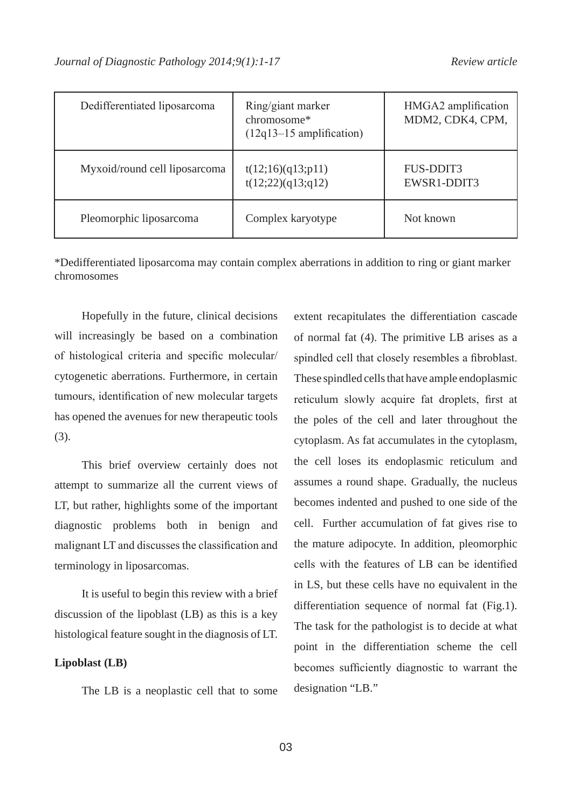| Dedifferentiated liposarcoma  | Ring/giant marker<br>chromosome*<br>$(12q13-15$ amplification) | HMGA2 amplification<br>MDM2, CDK4, CPM, |
|-------------------------------|----------------------------------------------------------------|-----------------------------------------|
| Myxoid/round cell liposarcoma | t(12;16)(q13;p11)<br>t(12;22)(q13;q12)                         | <b>FUS-DDIT3</b><br>EWSR1-DDIT3         |
| Pleomorphic liposarcoma       | Complex karyotype                                              | Not known                               |

\*Dedifferentiated liposarcoma may contain complex aberrations in addition to ring or giant marker chromosomes

Hopefully in the future, clinical decisions will increasingly be based on a combination of histological criteria and specific molecular/ cytogenetic aberrations. Furthermore, in certain tumours, identification of new molecular targets has opened the avenues for new therapeutic tools (3).

This brief overview certainly does not attempt to summarize all the current views of LT, but rather, highlights some of the important diagnostic problems both in benign and malignant LT and discusses the classification and terminology in liposarcomas.

It is useful to begin this review with a brief discussion of the lipoblast (LB) as this is a key histological feature sought in the diagnosis of LT.

#### **Lipoblast (LB)**

The LB is a neoplastic cell that to some

extent recapitulates the differentiation cascade of normal fat (4). The primitive LB arises as a spindled cell that closely resembles a fibroblast. These spindled cells that have ample endoplasmic reticulum slowly acquire fat droplets, first at the poles of the cell and later throughout the cytoplasm. As fat accumulates in the cytoplasm, the cell loses its endoplasmic reticulum and assumes a round shape. Gradually, the nucleus becomes indented and pushed to one side of the cell. Further accumulation of fat gives rise to the mature adipocyte. In addition, pleomorphic cells with the features of LB can be identified in LS, but these cells have no equivalent in the differentiation sequence of normal fat (Fig.1). The task for the pathologist is to decide at what point in the differentiation scheme the cell becomes sufficiently diagnostic to warrant the designation "LB."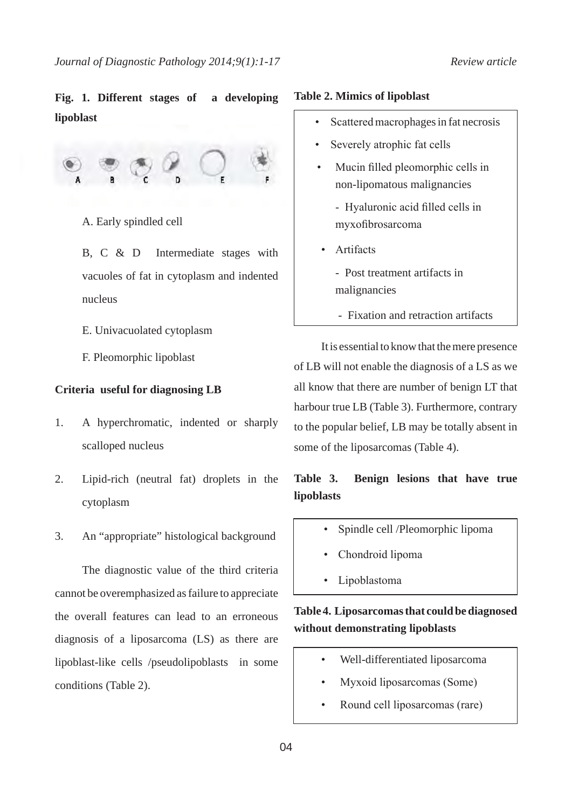# **Fig. 1. Different stages of a developing lipoblast**



- A. Early spindled cell
- B, C & D Intermediate stages with vacuoles of fat in cytoplasm and indented nucleus
- E. Univacuolated cytoplasm
- F. Pleomorphic lipoblast

#### **Criteria useful for diagnosing LB**

- 1. A hyperchromatic, indented or sharply scalloped nucleus
- 2. Lipid-rich (neutral fat) droplets in the cytoplasm
- 3. An "appropriate" histological background

The diagnostic value of the third criteria cannot be overemphasized as failure to appreciate the overall features can lead to an erroneous diagnosis of a liposarcoma (LS) as there are lipoblast-like cells /pseudolipoblasts in some conditions (Table 2).

#### **Table 2. Mimics of lipoblast**

- Scattered macrophages in fat necrosis
- Severely atrophic fat cells
- Mucin filled pleomorphic cells in non-lipomatous malignancies
	- Hyaluronic acid filled cells in myxofibrosarcoma
- **Artifacts** 
	- Post treatment artifacts in malignancies
	- Fixation and retraction artifacts

It is essential to know that the mere presence of LB will not enable the diagnosis of a LS as we all know that there are number of benign LT that harbour true LB (Table 3). Furthermore, contrary to the popular belief, LB may be totally absent in some of the liposarcomas (Table 4).

# **Table 3. Benign lesions that have true lipoblasts**

- Spindle cell /Pleomorphic lipoma
- Chondroid lipoma
- Lipoblastoma

## **Table 4. Liposarcomas that could be diagnosed without demonstrating lipoblasts**

- Well-differentiated liposarcoma
- Myxoid liposarcomas (Some)
- Round cell liposarcomas (rare)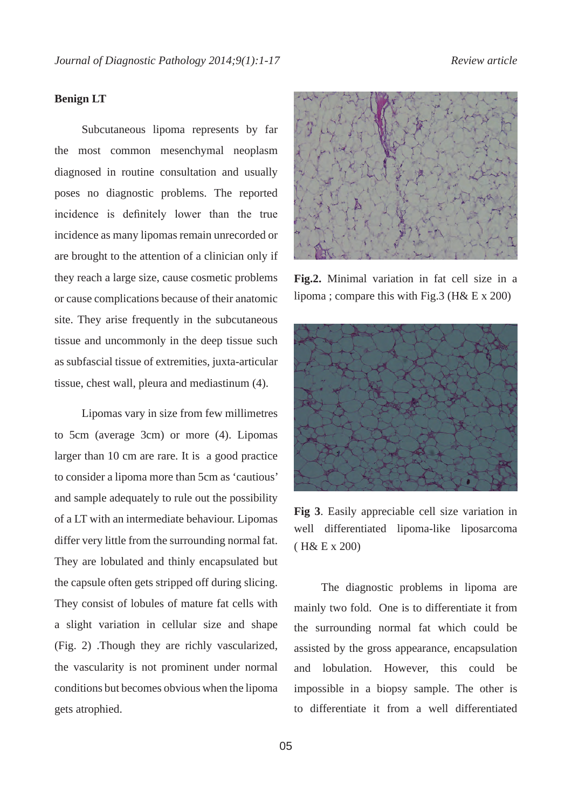### **Benign LT**

Subcutaneous lipoma represents by far the most common mesenchymal neoplasm diagnosed in routine consultation and usually poses no diagnostic problems. The reported incidence is definitely lower than the true incidence as many lipomas remain unrecorded or are brought to the attention of a clinician only if they reach a large size, cause cosmetic problems or cause complications because of their anatomic site. They arise frequently in the subcutaneous tissue and uncommonly in the deep tissue such as subfascial tissue of extremities, juxta-articular tissue, chest wall, pleura and mediastinum (4).

Lipomas vary in size from few millimetres to 5cm (average 3cm) or more (4). Lipomas larger than 10 cm are rare. It is a good practice to consider a lipoma more than 5cm as 'cautious' and sample adequately to rule out the possibility of a LT with an intermediate behaviour. Lipomas differ very little from the surrounding normal fat. They are lobulated and thinly encapsulated but the capsule often gets stripped off during slicing. They consist of lobules of mature fat cells with a slight variation in cellular size and shape (Fig. 2) .Though they are richly vascularized, the vascularity is not prominent under normal conditions but becomes obvious when the lipoma gets atrophied.



**Fig.2.** Minimal variation in fat cell size in a lipoma ; compare this with Fig.3 (H& E x 200)



**Fig 3**. Easily appreciable cell size variation in well differentiated lipoma-like liposarcoma ( H& E x 200)

The diagnostic problems in lipoma are mainly two fold. One is to differentiate it from the surrounding normal fat which could be assisted by the gross appearance, encapsulation and lobulation. However, this could be impossible in a biopsy sample. The other is to differentiate it from a well differentiated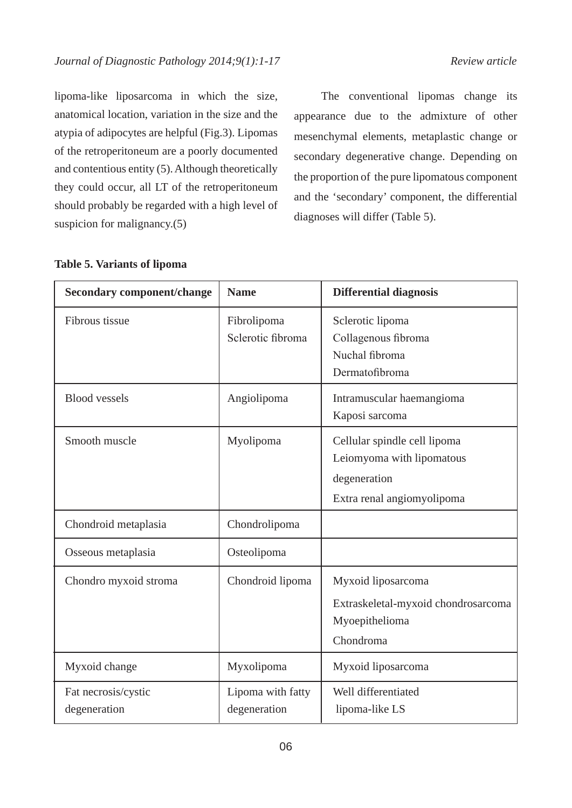lipoma-like liposarcoma in which the size, anatomical location, variation in the size and the atypia of adipocytes are helpful (Fig.3). Lipomas of the retroperitoneum are a poorly documented and contentious entity (5). Although theoretically they could occur, all LT of the retroperitoneum should probably be regarded with a high level of suspicion for malignancy.(5)

The conventional lipomas change its appearance due to the admixture of other mesenchymal elements, metaplastic change or secondary degenerative change. Depending on the proportion of the pure lipomatous component and the 'secondary' component, the differential diagnoses will differ (Table 5).

## **Table 5. Variants of lipoma**

| <b>Secondary component/change</b>   | <b>Name</b>                       | <b>Differential diagnosis</b>                                                                           |
|-------------------------------------|-----------------------------------|---------------------------------------------------------------------------------------------------------|
| Fibrous tissue                      | Fibrolipoma<br>Sclerotic fibroma  | Sclerotic lipoma<br>Collagenous fibroma<br>Nuchal fibroma<br>Dermatofibroma                             |
| <b>Blood</b> vessels                | Angiolipoma                       | Intramuscular haemangioma<br>Kaposi sarcoma                                                             |
| Smooth muscle                       | Myolipoma                         | Cellular spindle cell lipoma<br>Leiomyoma with lipomatous<br>degeneration<br>Extra renal angiomyolipoma |
| Chondroid metaplasia                | Chondrolipoma                     |                                                                                                         |
| Osseous metaplasia                  | Osteolipoma                       |                                                                                                         |
| Chondro myxoid stroma               | Chondroid lipoma                  | Myxoid liposarcoma<br>Extraskeletal-myxoid chondrosarcoma<br>Myoepithelioma<br>Chondroma                |
| Myxoid change                       | Myxolipoma                        | Myxoid liposarcoma                                                                                      |
| Fat necrosis/cystic<br>degeneration | Lipoma with fatty<br>degeneration | Well differentiated<br>lipoma-like LS                                                                   |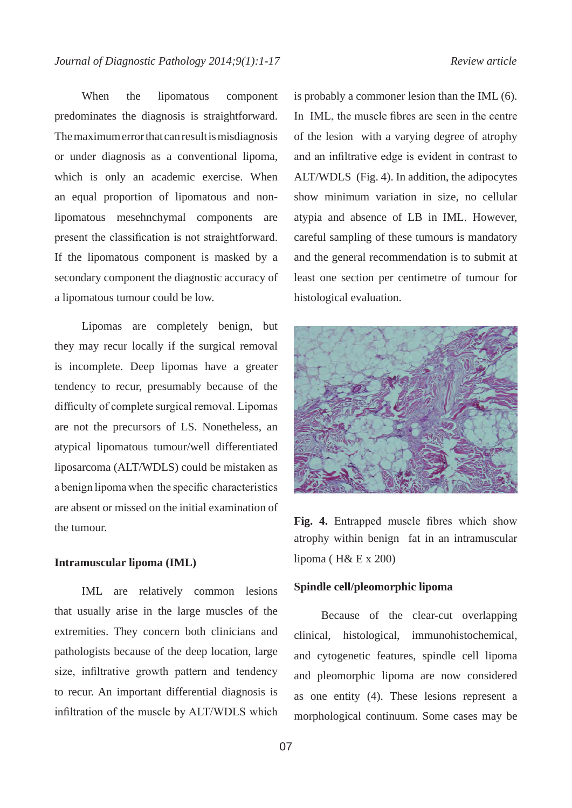When the lipomatous component predominates the diagnosis is straightforward. The maximum error that can result is misdiagnosis or under diagnosis as a conventional lipoma, which is only an academic exercise. When an equal proportion of lipomatous and nonlipomatous mesehnchymal components are present the classification is not straightforward. If the lipomatous component is masked by a secondary component the diagnostic accuracy of a lipomatous tumour could be low.

Lipomas are completely benign, but they may recur locally if the surgical removal is incomplete. Deep lipomas have a greater tendency to recur, presumably because of the difficulty of complete surgical removal. Lipomas are not the precursors of LS. Nonetheless, an atypical lipomatous tumour/well differentiated liposarcoma (ALT/WDLS) could be mistaken as a benign lipoma when the specific characteristics are absent or missed on the initial examination of the tumour.

### **Intramuscular lipoma (IML)**

IML are relatively common lesions that usually arise in the large muscles of the extremities. They concern both clinicians and pathologists because of the deep location, large size, infiltrative growth pattern and tendency to recur. An important differential diagnosis is infiltration of the muscle by ALT/WDLS which is probably a commoner lesion than the IML (6). In IML, the muscle fibres are seen in the centre of the lesion with a varying degree of atrophy and an infiltrative edge is evident in contrast to ALT/WDLS (Fig. 4). In addition, the adipocytes show minimum variation in size, no cellular atypia and absence of LB in IML. However, careful sampling of these tumours is mandatory and the general recommendation is to submit at least one section per centimetre of tumour for histological evaluation.



**Fig. 4.** Entrapped muscle fibres which show atrophy within benign fat in an intramuscular lipoma ( $H & E x 200$ )

### **Spindle cell/pleomorphic lipoma**

Because of the clear-cut overlapping clinical, histological, immunohistochemical, and cytogenetic features, spindle cell lipoma and pleomorphic lipoma are now considered as one entity (4). These lesions represent a morphological continuum. Some cases may be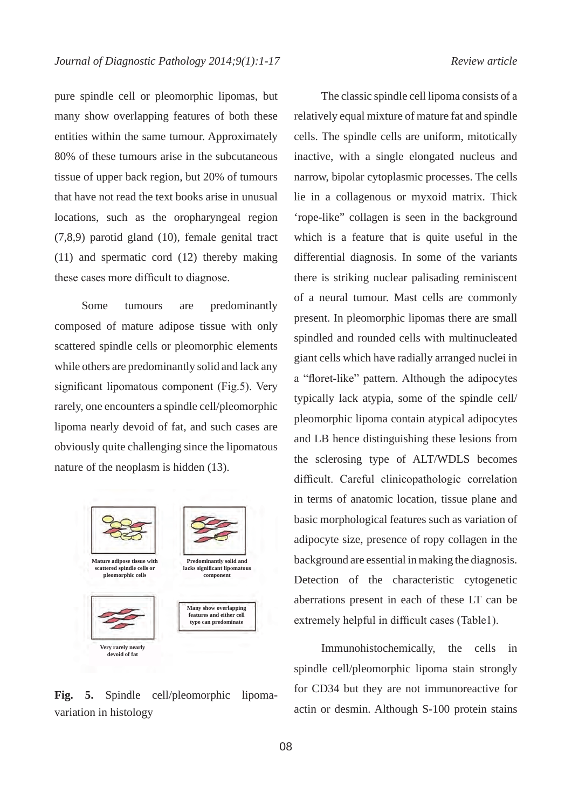pure spindle cell or pleomorphic lipomas, but many show overlapping features of both these entities within the same tumour. Approximately 80% of these tumours arise in the subcutaneous tissue of upper back region, but 20% of tumours that have not read the text books arise in unusual locations, such as the oropharyngeal region (7,8,9) parotid gland (10), female genital tract (11) and spermatic cord (12) thereby making these cases more difficult to diagnose.

Some tumours are predominantly composed of mature adipose tissue with only scattered spindle cells or pleomorphic elements while others are predominantly solid and lack any significant lipomatous component (Fig.5). Very rarely, one encounters a spindle cell/pleomorphic lipoma nearly devoid of fat, and such cases are obviously quite challenging since the lipomatous nature of the neoplasm is hidden (13).



**Fig. 5.** Spindle cell/pleomorphic lipomavariation in histology

The classic spindle cell lipoma consists of a relatively equal mixture of mature fat and spindle cells. The spindle cells are uniform, mitotically inactive, with a single elongated nucleus and narrow, bipolar cytoplasmic processes. The cells lie in a collagenous or myxoid matrix. Thick 'rope-like" collagen is seen in the background which is a feature that is quite useful in the differential diagnosis. In some of the variants there is striking nuclear palisading reminiscent of a neural tumour. Mast cells are commonly present. In pleomorphic lipomas there are small spindled and rounded cells with multinucleated giant cells which have radially arranged nuclei in a "floret-like" pattern. Although the adipocytes typically lack atypia, some of the spindle cell/ pleomorphic lipoma contain atypical adipocytes and LB hence distinguishing these lesions from the sclerosing type of ALT/WDLS becomes difficult. Careful clinicopathologic correlation in terms of anatomic location, tissue plane and basic morphological features such as variation of adipocyte size, presence of ropy collagen in the background are essential in making the diagnosis. Detection of the characteristic cytogenetic aberrations present in each of these LT can be extremely helpful in difficult cases (Table1).

Immunohistochemically, the cells in spindle cell/pleomorphic lipoma stain strongly for CD34 but they are not immunoreactive for actin or desmin. Although S-100 protein stains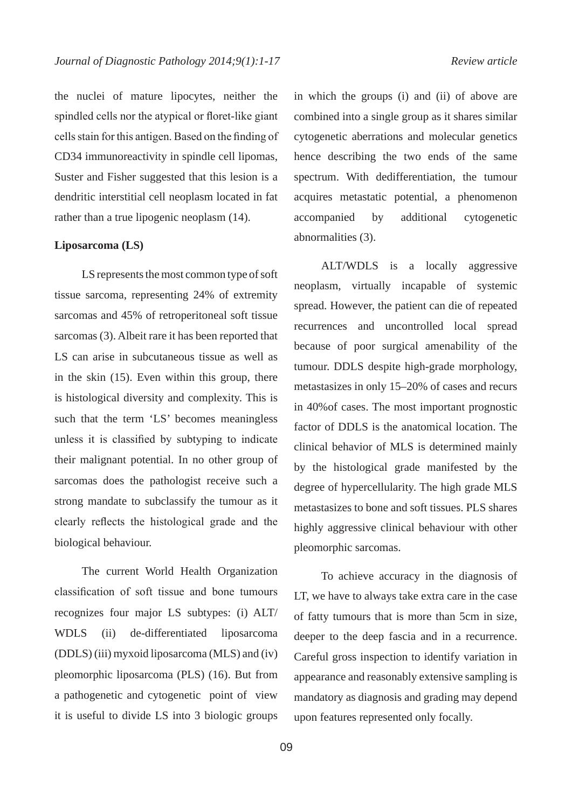the nuclei of mature lipocytes, neither the spindled cells nor the atypical or floret-like giant cells stain for this antigen. Based on the finding of CD34 immunoreactivity in spindle cell lipomas, Suster and Fisher suggested that this lesion is a dendritic interstitial cell neoplasm located in fat rather than a true lipogenic neoplasm (14).

#### **Liposarcoma (LS)**

LS represents the most common type of soft tissue sarcoma, representing 24% of extremity sarcomas and 45% of retroperitoneal soft tissue sarcomas (3). Albeit rare it has been reported that LS can arise in subcutaneous tissue as well as in the skin (15). Even within this group, there is histological diversity and complexity. This is such that the term 'LS' becomes meaningless unless it is classified by subtyping to indicate their malignant potential. In no other group of sarcomas does the pathologist receive such a strong mandate to subclassify the tumour as it clearly reflects the histological grade and the biological behaviour.

The current World Health Organization classification of soft tissue and bone tumours recognizes four major LS subtypes: (i) ALT/ WDLS (ii) de-differentiated liposarcoma (DDLS) (iii) myxoid liposarcoma (MLS) and (iv) pleomorphic liposarcoma (PLS) (16). But from a pathogenetic and cytogenetic point of view it is useful to divide LS into 3 biologic groups

in which the groups (i) and (ii) of above are combined into a single group as it shares similar cytogenetic aberrations and molecular genetics hence describing the two ends of the same spectrum. With dedifferentiation, the tumour acquires metastatic potential, a phenomenon accompanied by additional cytogenetic abnormalities (3).

ALT/WDLS is a locally aggressive neoplasm, virtually incapable of systemic spread. However, the patient can die of repeated recurrences and uncontrolled local spread because of poor surgical amenability of the tumour. DDLS despite high-grade morphology, metastasizes in only 15–20% of cases and recurs in 40%of cases. The most important prognostic factor of DDLS is the anatomical location. The clinical behavior of MLS is determined mainly by the histological grade manifested by the degree of hypercellularity. The high grade MLS metastasizes to bone and soft tissues. PLS shares highly aggressive clinical behaviour with other pleomorphic sarcomas.

To achieve accuracy in the diagnosis of LT, we have to always take extra care in the case of fatty tumours that is more than 5cm in size, deeper to the deep fascia and in a recurrence. Careful gross inspection to identify variation in appearance and reasonably extensive sampling is mandatory as diagnosis and grading may depend upon features represented only focally.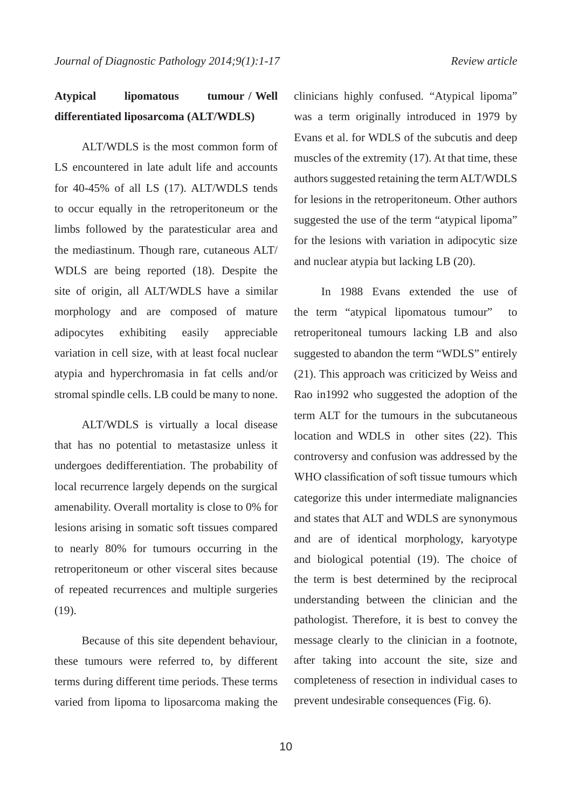# **Atypical lipomatous tumour / Well differentiated liposarcoma (ALT/WDLS)**

ALT/WDLS is the most common form of LS encountered in late adult life and accounts for 40-45% of all LS (17). ALT/WDLS tends to occur equally in the retroperitoneum or the limbs followed by the paratesticular area and the mediastinum. Though rare, cutaneous ALT/ WDLS are being reported (18). Despite the site of origin, all ALT/WDLS have a similar morphology and are composed of mature adipocytes exhibiting easily appreciable variation in cell size, with at least focal nuclear atypia and hyperchromasia in fat cells and/or stromal spindle cells. LB could be many to none.

ALT/WDLS is virtually a local disease that has no potential to metastasize unless it undergoes dedifferentiation. The probability of local recurrence largely depends on the surgical amenability. Overall mortality is close to 0% for lesions arising in somatic soft tissues compared to nearly 80% for tumours occurring in the retroperitoneum or other visceral sites because of repeated recurrences and multiple surgeries (19).

Because of this site dependent behaviour, these tumours were referred to, by different terms during different time periods. These terms varied from lipoma to liposarcoma making the clinicians highly confused. "Atypical lipoma" was a term originally introduced in 1979 by Evans et al. for WDLS of the subcutis and deep muscles of the extremity (17). At that time, these authors suggested retaining the term ALT/WDLS for lesions in the retroperitoneum. Other authors suggested the use of the term "atypical lipoma" for the lesions with variation in adipocytic size and nuclear atypia but lacking LB (20).

In 1988 Evans extended the use of the term "atypical lipomatous tumour" to retroperitoneal tumours lacking LB and also suggested to abandon the term "WDLS" entirely (21). This approach was criticized by Weiss and Rao in1992 who suggested the adoption of the term ALT for the tumours in the subcutaneous location and WDLS in other sites (22). This controversy and confusion was addressed by the WHO classification of soft tissue tumours which categorize this under intermediate malignancies and states that ALT and WDLS are synonymous and are of identical morphology, karyotype and biological potential (19). The choice of the term is best determined by the reciprocal understanding between the clinician and the pathologist. Therefore, it is best to convey the message clearly to the clinician in a footnote, after taking into account the site, size and completeness of resection in individual cases to prevent undesirable consequences (Fig. 6).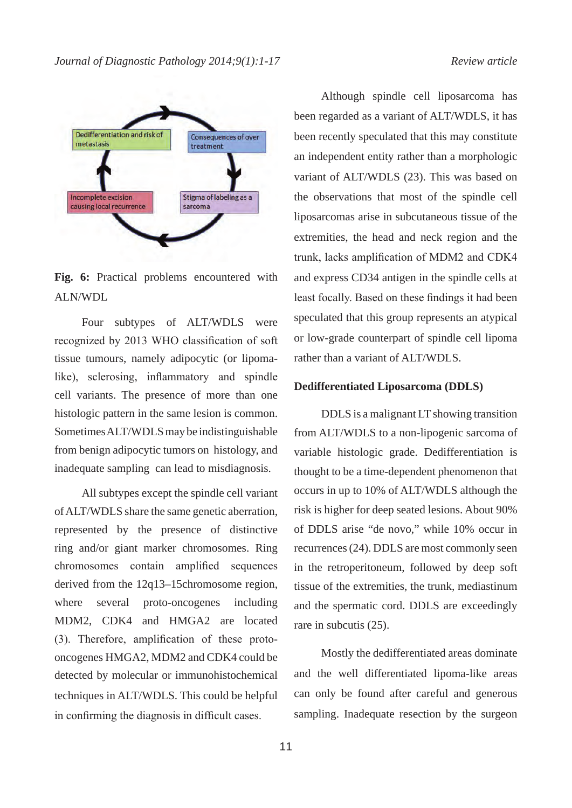

**Fig. 6:** Practical problems encountered with ALN/WDL

Four subtypes of ALT/WDLS were recognized by 2013 WHO classification of soft tissue tumours, namely adipocytic (or lipomalike), sclerosing, inflammatory and spindle cell variants. The presence of more than one histologic pattern in the same lesion is common. Sometimes ALT/WDLS may be indistinguishable from benign adipocytic tumors on histology, and inadequate sampling can lead to misdiagnosis.

All subtypes except the spindle cell variant of ALT/WDLS share the same genetic aberration, represented by the presence of distinctive ring and/or giant marker chromosomes. Ring chromosomes contain amplified sequences derived from the 12q13–15chromosome region, where several proto-oncogenes including MDM2, CDK4 and HMGA2 are located (3). Therefore, amplification of these protooncogenes HMGA2, MDM2 and CDK4 could be detected by molecular or immunohistochemical techniques in ALT/WDLS. This could be helpful in confirming the diagnosis in difficult cases.

Although spindle cell liposarcoma has been regarded as a variant of ALT/WDLS, it has been recently speculated that this may constitute an independent entity rather than a morphologic variant of ALT/WDLS (23). This was based on the observations that most of the spindle cell liposarcomas arise in subcutaneous tissue of the extremities, the head and neck region and the trunk, lacks amplification of MDM2 and CDK4 and express CD34 antigen in the spindle cells at least focally. Based on these findings it had been speculated that this group represents an atypical or low-grade counterpart of spindle cell lipoma rather than a variant of ALT/WDLS.

#### **Dedifferentiated Liposarcoma (DDLS)**

DDLS is a malignant LT showing transition from ALT/WDLS to a non-lipogenic sarcoma of variable histologic grade. Dedifferentiation is thought to be a time-dependent phenomenon that occurs in up to 10% of ALT/WDLS although the risk is higher for deep seated lesions. About 90% of DDLS arise "de novo," while 10% occur in recurrences (24). DDLS are most commonly seen in the retroperitoneum, followed by deep soft tissue of the extremities, the trunk, mediastinum and the spermatic cord. DDLS are exceedingly rare in subcutis (25).

Mostly the dedifferentiated areas dominate and the well differentiated lipoma-like areas can only be found after careful and generous sampling. Inadequate resection by the surgeon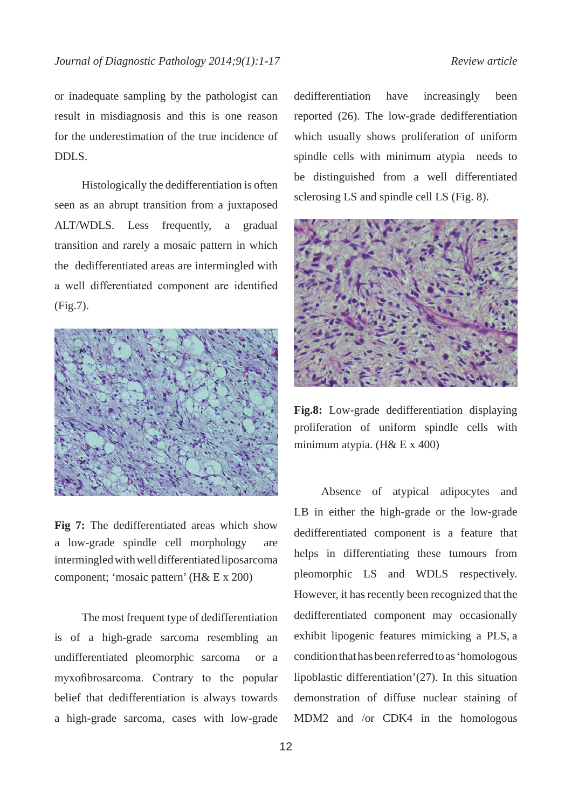or inadequate sampling by the pathologist can result in misdiagnosis and this is one reason for the underestimation of the true incidence of DDLS.

Histologically the dedifferentiation is often seen as an abrupt transition from a juxtaposed ALT/WDLS. Less frequently, a gradual transition and rarely a mosaic pattern in which the dedifferentiated areas are intermingled with a well differentiated component are identified (Fig.7).



**Fig 7:** The dedifferentiated areas which show a low-grade spindle cell morphology are intermingled with well differentiated liposarcoma component; 'mosaic pattern' (H& E x 200)

The most frequent type of dedifferentiation is of a high-grade sarcoma resembling an undifferentiated pleomorphic sarcoma or a myxofibrosarcoma. Contrary to the popular belief that dedifferentiation is always towards a high-grade sarcoma, cases with low-grade dedifferentiation have increasingly been reported (26). The low-grade dedifferentiation which usually shows proliferation of uniform spindle cells with minimum atypia needs to be distinguished from a well differentiated sclerosing LS and spindle cell LS (Fig. 8).



**Fig.8:** Low-grade dedifferentiation displaying proliferation of uniform spindle cells with minimum atypia. (H& E x 400)

Absence of atypical adipocytes and LB in either the high-grade or the low-grade dedifferentiated component is a feature that helps in differentiating these tumours from pleomorphic LS and WDLS respectively. However, it has recently been recognized that the dedifferentiated component may occasionally exhibit lipogenic features mimicking a PLS, a condition that has been referred to as 'homologous lipoblastic differentiation'(27). In this situation demonstration of diffuse nuclear staining of MDM2 and /or CDK4 in the homologous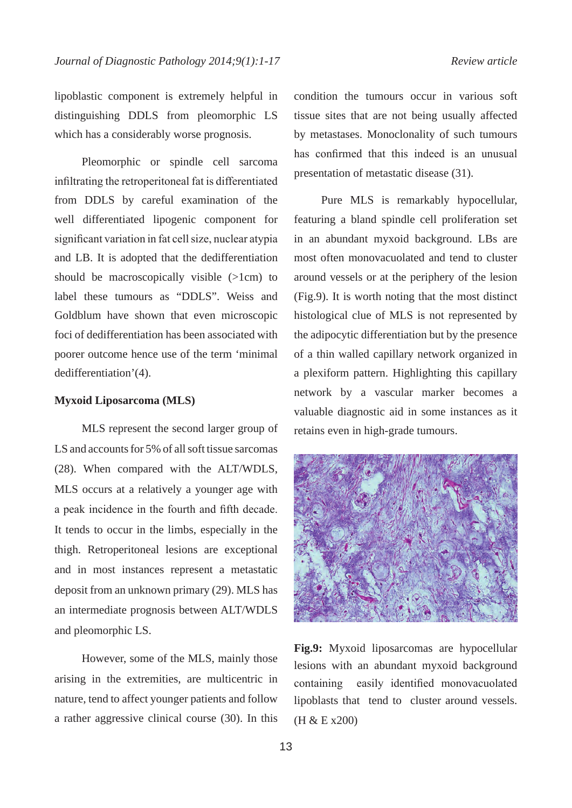lipoblastic component is extremely helpful in distinguishing DDLS from pleomorphic LS which has a considerably worse prognosis.

Pleomorphic or spindle cell sarcoma infiltrating the retroperitoneal fat is differentiated from DDLS by careful examination of the well differentiated lipogenic component for significant variation in fat cell size, nuclear atypia and LB. It is adopted that the dedifferentiation should be macroscopically visible (>1cm) to label these tumours as "DDLS". Weiss and Goldblum have shown that even microscopic foci of dedifferentiation has been associated with poorer outcome hence use of the term 'minimal dedifferentiation'(4).

#### **Myxoid Liposarcoma (MLS)**

MLS represent the second larger group of LS and accounts for 5% of all soft tissue sarcomas (28). When compared with the ALT/WDLS, MLS occurs at a relatively a younger age with a peak incidence in the fourth and fifth decade. It tends to occur in the limbs, especially in the thigh. Retroperitoneal lesions are exceptional and in most instances represent a metastatic deposit from an unknown primary (29). MLS has an intermediate prognosis between ALT/WDLS and pleomorphic LS.

However, some of the MLS, mainly those arising in the extremities, are multicentric in nature, tend to affect younger patients and follow a rather aggressive clinical course (30). In this condition the tumours occur in various soft tissue sites that are not being usually affected by metastases. Monoclonality of such tumours has confirmed that this indeed is an unusual presentation of metastatic disease (31).

Pure MLS is remarkably hypocellular, featuring a bland spindle cell proliferation set in an abundant myxoid background. LBs are most often monovacuolated and tend to cluster around vessels or at the periphery of the lesion (Fig.9). It is worth noting that the most distinct histological clue of MLS is not represented by the adipocytic differentiation but by the presence of a thin walled capillary network organized in a plexiform pattern. Highlighting this capillary network by a vascular marker becomes a valuable diagnostic aid in some instances as it retains even in high-grade tumours.



**Fig.9:** Myxoid liposarcomas are hypocellular lesions with an abundant myxoid background containing easily identified monovacuolated lipoblasts that tend to cluster around vessels. (H & E x200)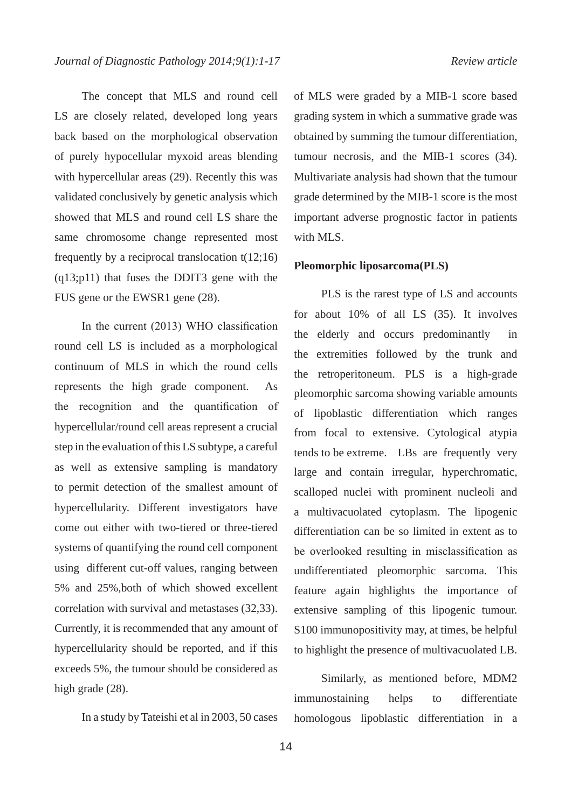The concept that MLS and round cell LS are closely related, developed long years back based on the morphological observation of purely hypocellular myxoid areas blending with hypercellular areas (29). Recently this was validated conclusively by genetic analysis which showed that MLS and round cell LS share the same chromosome change represented most frequently by a reciprocal translocation  $t(12;16)$ (q13;p11) that fuses the DDIT3 gene with the FUS gene or the EWSR1 gene (28).

In the current (2013) WHO classification round cell LS is included as a morphological continuum of MLS in which the round cells represents the high grade component. As the recognition and the quantification of hypercellular/round cell areas represent a crucial step in the evaluation of this LS subtype, a careful as well as extensive sampling is mandatory to permit detection of the smallest amount of hypercellularity. Different investigators have come out either with two-tiered or three-tiered systems of quantifying the round cell component using different cut-off values, ranging between 5% and 25%,both of which showed excellent correlation with survival and metastases (32,33). Currently, it is recommended that any amount of hypercellularity should be reported, and if this exceeds 5%, the tumour should be considered as high grade  $(28)$ .

In a study by Tateishi et al in 2003, 50 cases

of MLS were graded by a MIB-1 score based grading system in which a summative grade was obtained by summing the tumour differentiation, tumour necrosis, and the MIB-1 scores (34). Multivariate analysis had shown that the tumour grade determined by the MIB-1 score is the most important adverse prognostic factor in patients with MLS.

### **Pleomorphic liposarcoma(PLS)**

PLS is the rarest type of LS and accounts for about 10% of all LS (35). It involves the elderly and occurs predominantly in the extremities followed by the trunk and the retroperitoneum. PLS is a high-grade pleomorphic sarcoma showing variable amounts of lipoblastic differentiation which ranges from focal to extensive. Cytological atypia tends to be extreme. LBs are frequently very large and contain irregular, hyperchromatic, scalloped nuclei with prominent nucleoli and a multivacuolated cytoplasm. The lipogenic differentiation can be so limited in extent as to be overlooked resulting in misclassification as undifferentiated pleomorphic sarcoma. This feature again highlights the importance of extensive sampling of this lipogenic tumour. S100 immunopositivity may, at times, be helpful to highlight the presence of multivacuolated LB.

Similarly, as mentioned before, MDM2 immunostaining helps to differentiate homologous lipoblastic differentiation in a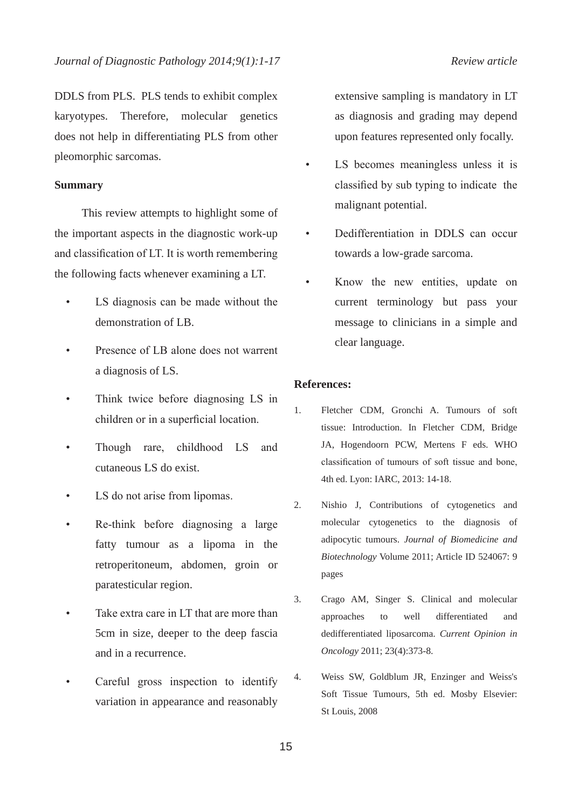DDLS from PLS. PLS tends to exhibit complex karyotypes. Therefore, molecular genetics does not help in differentiating PLS from other pleomorphic sarcomas.

### **Summary**

This review attempts to highlight some of the important aspects in the diagnostic work-up and classification of LT. It is worth remembering the following facts whenever examining a LT.

- LS diagnosis can be made without the demonstration of LB.
- Presence of LB alone does not warrent a diagnosis of LS.
- Think twice before diagnosing LS in children or in a superficial location.
- Though rare, childhood LS and cutaneous LS do exist.
- LS do not arise from lipomas.
- Re-think before diagnosing a large fatty tumour as a lipoma in the retroperitoneum, abdomen, groin or paratesticular region.
- Take extra care in LT that are more than 5cm in size, deeper to the deep fascia and in a recurrence.
- Careful gross inspection to identify variation in appearance and reasonably

extensive sampling is mandatory in LT as diagnosis and grading may depend upon features represented only focally.

- LS becomes meaningless unless it is classified by sub typing to indicate the malignant potential.
- Dedifferentiation in DDLS can occur towards a low-grade sarcoma.
- Know the new entities, update on current terminology but pass your message to clinicians in a simple and clear language.

## **References:**

- 1. Fletcher CDM, Gronchi A. Tumours of soft tissue: Introduction. In Fletcher CDM, Bridge JA, Hogendoorn PCW, Mertens F eds. WHO classification of tumours of soft tissue and bone, 4th ed. Lyon: IARC, 2013: 14-18.
- 2. Nishio J, Contributions of cytogenetics and molecular cytogenetics to the diagnosis of adipocytic tumours. *Journal of Biomedicine and Biotechnology* Volume 2011; Article ID 524067: 9 pages
- 3. Crago AM, Singer S. Clinical and molecular approaches to well differentiated and dedifferentiated liposarcoma. *Current Opinion in Oncology* 2011; 23(4):373-8.
- 4. Weiss SW, Goldblum JR, Enzinger and Weiss's Soft Tissue Tumours, 5th ed. Mosby Elsevier: St Louis, 2008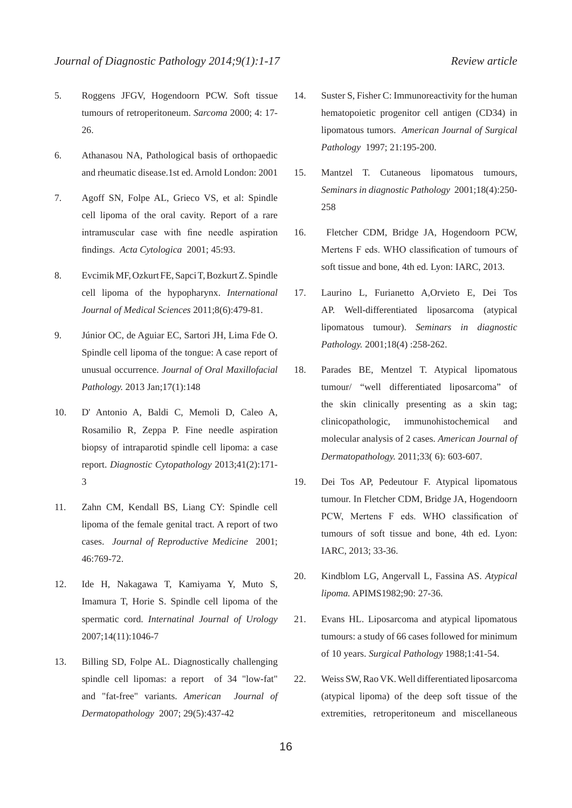- 5. Roggens JFGV, Hogendoorn PCW. Soft tissue tumours of retroperitoneum. *Sarcoma* 2000; 4: 17- 26.
- 6. Athanasou NA, Pathological basis of orthopaedic and rheumatic disease.1st ed. Arnold London: 2001
- 7. Agoff SN, Folpe AL, Grieco VS, et al: Spindle cell lipoma of the oral cavity. Report of a rare intramuscular case with fine needle aspiration findings. *Acta Cytologica* 2001; 45:93.
- 8. Evcimik MF, Ozkurt FE, Sapci T, Bozkurt Z. Spindle cell lipoma of the hypopharynx. *International Journal of Medical Sciences* 2011;8(6):479-81.
- 9. Júnior OC, de Aguiar EC, Sartori JH, Lima Fde O. Spindle cell lipoma of the tongue: A case report of unusual occurrence. *Journal of Oral Maxillofacial Pathology.* 2013 Jan;17(1):148
- 10. D' Antonio A, Baldi C, Memoli D, Caleo A, Rosamilio R, Zeppa P. Fine needle aspiration biopsy of intraparotid spindle cell lipoma: a case report. *Diagnostic Cytopathology* 2013;41(2):171- 3
- 11. Zahn CM, Kendall BS, Liang CY: Spindle cell lipoma of the female genital tract. A report of two cases. *Journal of Reproductive Medicine* 2001; 46:769-72.
- 12. Ide H, Nakagawa T, Kamiyama Y, Muto S, Imamura T, Horie S. Spindle cell lipoma of the spermatic cord. *Internatinal Journal of Urology*  2007;14(11):1046-7
- 13. Billing SD, Folpe AL. Diagnostically challenging spindle cell lipomas: a report of 34 "low-fat" and "fat-free" variants. *American Journal of Dermatopathology* 2007; 29(5):437-42
- 14. Suster S, Fisher C: Immunoreactivity for the human hematopoietic progenitor cell antigen (CD34) in lipomatous tumors. *American Journal of Surgical Pathology* 1997; 21:195-200.
- 15. Mantzel T. Cutaneous lipomatous tumours, *Seminars in diagnostic Pathology* 2001;18(4):250- 258
- 16. Fletcher CDM, Bridge JA, Hogendoorn PCW, Mertens F eds. WHO classification of tumours of soft tissue and bone, 4th ed. Lyon: IARC, 2013.
- 17. Laurino L, Furianetto A,Orvieto E, Dei Tos AP. Well-differentiated liposarcoma (atypical lipomatous tumour). *Seminars in diagnostic Pathology.* 2001;18(4) :258-262.
- 18. Parades BE, Mentzel T. Atypical lipomatous tumour/ "well differentiated liposarcoma" of the skin clinically presenting as a skin tag; clinicopathologic, immunohistochemical and molecular analysis of 2 cases. *American Journal of Dermatopathology.* 2011;33( 6): 603-607.
- 19. Dei Tos AP, Pedeutour F. Atypical lipomatous tumour. In Fletcher CDM, Bridge JA, Hogendoorn PCW, Mertens F eds. WHO classification of tumours of soft tissue and bone, 4th ed. Lyon: IARC, 2013; 33-36.
- 20. Kindblom LG, Angervall L, Fassina AS. *Atypical lipoma.* APIMS1982;90: 27-36.
- 21. Evans HL. Liposarcoma and atypical lipomatous tumours: a study of 66 cases followed for minimum of 10 years. *Surgical Pathology* 1988;1:41-54.
- 22. Weiss SW, Rao VK. Well differentiated liposarcoma (atypical lipoma) of the deep soft tissue of the extremities, retroperitoneum and miscellaneous